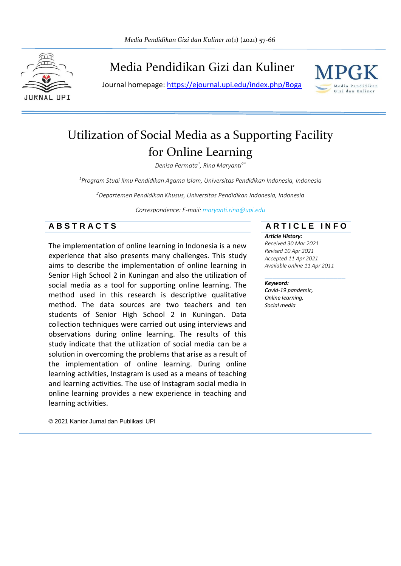

# Media Pendidikan Gizi dan Kuliner

Journal homepage:<https://ejournal.upi.edu/index.php/Boga>



# Utilization of Social Media as a Supporting Facility for Online Learning

*Denisa Permata<sup>1</sup> , Rina Maryanti2\**

*<sup>1</sup>Program Studi Ilmu Pendidikan Agama Islam, Universitas Pendidikan Indonesia, Indonesia*

*<sup>2</sup>Departemen Pendidikan Khusus, Universitas Pendidikan Indonesia, Indonesia*

*Correspondence: E-mail: maryanti.rina@upi.edu*

The implementation of online learning in Indonesia is a new experience that also presents many challenges. This study aims to describe the implementation of online learning in Senior High School 2 in Kuningan and also the utilization of social media as a tool for supporting online learning. The method used in this research is descriptive qualitative method. The data sources are two teachers and ten students of Senior High School 2 in Kuningan. Data collection techniques were carried out using interviews and observations during online learning. The results of this study indicate that the utilization of social media can be a solution in overcoming the problems that arise as a result of the implementation of online learning. During online learning activities, Instagram is used as a means of teaching and learning activities. The use of Instagram social media in online learning provides a new experience in teaching and learning activities.

**A B S T R A C T S A R T I C L E I N F O**

#### *Article History:*

*Received 30 Mar 2021 Revised 10 Apr 2021 Accepted 11 Apr 2021 Available online 11 Apr 2011*

#### \_\_\_\_\_\_\_\_\_\_\_\_\_\_\_\_\_\_\_\_ *Keyword:*

*Covid-19 pandemic, Online learning, Social media*

© 2021 Kantor Jurnal dan Publikasi UPI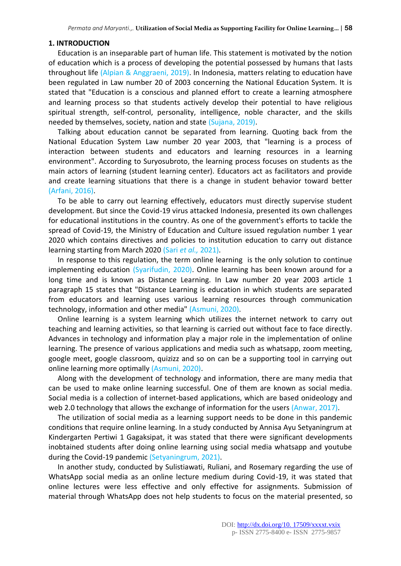#### **1. INTRODUCTION**

Education is an inseparable part of human life. This statement is motivated by the notion of education which is a process of developing the potential possessed by humans that lasts throughout life (Alpian & Anggraeni, 2019). In Indonesia, matters relating to education have been regulated in Law number 20 of 2003 concerning the National Education System. It is stated that "Education is a conscious and planned effort to create a learning atmosphere and learning process so that students actively develop their potential to have religious spiritual strength, self-control, personality, intelligence, noble character, and the skills needed by themselves, society, nation and state (Sujana, 2019).

Talking about education cannot be separated from learning. Quoting back from the National Education System Law number 20 year 2003, that "learning is a process of interaction between students and educators and learning resources in a learning environment". According to Suryosubroto, the learning process focuses on students as the main actors of learning (student learning center). Educators act as facilitators and provide and create learning situations that there is a change in student behavior toward better (Arfani, 2016).

To be able to carry out learning effectively, educators must directly supervise student development. But since the Covid-19 virus attacked Indonesia, presented its own challenges for educational institutions in the country. As one of the government's efforts to tackle the spread of Covid-19, the Ministry of Education and Culture issued regulation number 1 year 2020 which contains directives and policies to institution education to carry out distance learning starting from March 2020 (Sari *et al.,* 2021).

In response to this regulation, the term online learning is the only solution to continue implementing education (Syarifudin, 2020). Online learning has been known around for a long time and is known as Distance Learning. In Law number 20 year 2003 article 1 paragraph 15 states that "Distance Learning is education in which students are separated from educators and learning uses various learning resources through communication technology, information and other media" (Asmuni, 2020).

Online learning is a system learning which utilizes the internet network to carry out teaching and learning activities, so that learning is carried out without face to face directly. Advances in technology and information play a major role in the implementation of online learning. The presence of various applications and media such as whatsapp, zoom meeting, google meet, google classroom, quizizz and so on can be a supporting tool in carrying out online learning more optimally (Asmuni, 2020).

Along with the development of technology and information, there are many media that can be used to make online learning successful. One of them are known as social media. Social media is a collection of internet-based applications, which are based onideology and web 2.0 technology that allows the exchange of information for the users (Anwar, 2017).

The utilization of social media as a learning support needs to be done in this pandemic conditions that require online learning. In a study conducted by Annisa Ayu Setyaningrum at Kindergarten Pertiwi 1 Gagaksipat, it was stated that there were significant developments inobtained students after doing online learning using social media whatsapp and youtube during the Covid-19 pandemic (Setyaningrum, 2021).

In another study, conducted by Sulistiawati, Ruliani, and Rosemary regarding the use of WhatsApp social media as an online lecture medium during Covid-19, it was stated that online lectures were less effective and only effective for assignments. Submission of material through WhatsApp does not help students to focus on the material presented, so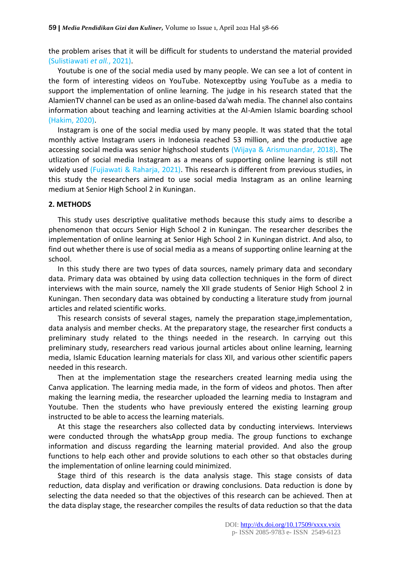the problem arises that it will be difficult for students to understand the material provided (Sulistiawati *et all.*, 2021).

Youtube is one of the social media used by many people. We can see a lot of content in the form of interesting videos on YouTube. Notexceptby using YouTube as a media to support the implementation of online learning. The judge in his research stated that the AlamienTV channel can be used as an online-based da'wah media. The channel also contains information about teaching and learning activities at the Al-Amien Islamic boarding school (Hakim, 2020).

Instagram is one of the social media used by many people. It was stated that the total monthly active Instagram users in Indonesia reached 53 million, and the productive age accessing social media was senior highschool students (Wijaya & Arismunandar, 2018). The utlization of social media Instagram as a means of supporting online learning is still not widely used (Fujiawati & Raharja, 2021). This research is different from previous studies, in this study the researchers aimed to use social media Instagram as an online learning medium at Senior High School 2 in Kuningan.

### **2. METHODS**

This study uses descriptive qualitative methods because this study aims to describe a phenomenon that occurs Senior High School 2 in Kuningan. The researcher describes the implementation of online learning at Senior High School 2 in Kuningan district. And also, to find out whether there is use of social media as a means of supporting online learning at the school.

In this study there are two types of data sources, namely primary data and secondary data. Primary data was obtained by using data collection techniques in the form of direct interviews with the main source, namely the XII grade students of Senior High School 2 in Kuningan. Then secondary data was obtained by conducting a literature study from journal articles and related scientific works.

This research consists of several stages, namely the preparation stage,implementation, data analysis and member checks. At the preparatory stage, the researcher first conducts a preliminary study related to the things needed in the research. In carrying out this preliminary study, researchers read various journal articles about online learning, learning media, Islamic Education learning materials for class XII, and various other scientific papers needed in this research.

Then at the implementation stage the researchers created learning media using the Canva application. The learning media made, in the form of videos and photos. Then after making the learning media, the researcher uploaded the learning media to Instagram and Youtube. Then the students who have previously entered the existing learning group instructed to be able to access the learning materials.

At this stage the researchers also collected data by conducting interviews. Interviews were conducted through the whatsApp group media. The group functions to exchange information and discuss regarding the learning material provided. And also the group functions to help each other and provide solutions to each other so that obstacles during the implementation of online learning could minimized.

Stage third of this research is the data analysis stage. This stage consists of data reduction, data display and verification or drawing conclusions. Data reduction is done by selecting the data needed so that the objectives of this research can be achieved. Then at the data display stage, the researcher compiles the results of data reduction so that the data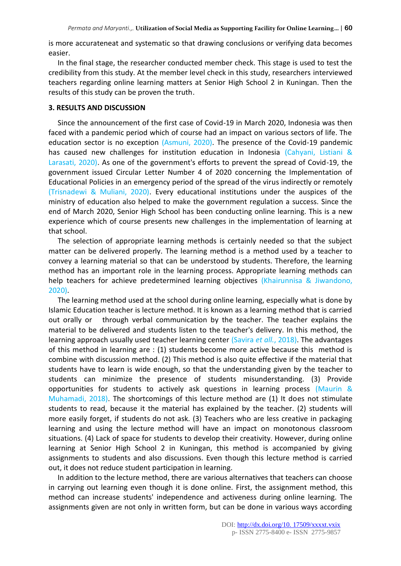is more accurateneat and systematic so that drawing conclusions or verifying data becomes easier.

In the final stage, the researcher conducted member check. This stage is used to test the credibility from this study. At the member level check in this study, researchers interviewed teachers regarding online learning matters at Senior High School 2 in Kuningan. Then the results of this study can be proven the truth.

#### **3. RESULTS AND DISCUSSION**

Since the announcement of the first case of Covid-19 in March 2020, Indonesia was then faced with a pandemic period which of course had an impact on various sectors of life. The education sector is no exception (Asmuni, 2020). The presence of the Covid-19 pandemic has caused new challenges for institution education in Indonesia (Cahyani, Listiani & Larasati, 2020). As one of the government's efforts to prevent the spread of Covid-19, the government issued Circular Letter Number 4 of 2020 concerning the Implementation of Educational Policies in an emergency period of the spread of the virus indirectly or remotely (Trisnadewi & Muliani, 2020). Every educational institutions under the auspices of the ministry of education also helped to make the government regulation a success. Since the end of March 2020, Senior High School has been conducting online learning. This is a new experience which of course presents new challenges in the implementation of learning at that school.

The selection of appropriate learning methods is certainly needed so that the subject matter can be delivered properly. The learning method is a method used by a teacher to convey a learning material so that can be understood by students. Therefore, the learning method has an important role in the learning process. Appropriate learning methods can help teachers for achieve predetermined learning objectives (Khairunnisa & Jiwandono, 2020).

The learning method used at the school during online learning, especially what is done by Islamic Education teacher is lecture method. It is known as a learning method that is carried out orally or through verbal communication by the teacher. The teacher explains the material to be delivered and students listen to the teacher's delivery. In this method, the learning approach usually used teacher learning center (Savira *et all.*, 2018). The advantages of this method in learning are : (1) students become more active because this method is combine with discussion method. (2) This method is also quite effective if the material that students have to learn is wide enough, so that the understanding given by the teacher to students can minimize the presence of students misunderstanding. (3) Provide opportunities for students to actively ask questions in learning process (Maurin & Muhamadi, 2018). The shortcomings of this lecture method are (1) It does not stimulate students to read, because it the material has explained by the teacher. (2) students will more easily forget, if students do not ask. (3) Teachers who are less creative in packaging learning and using the lecture method will have an impact on monotonous classroom situations. (4) Lack of space for students to develop their creativity. However, during online learning at Senior High School 2 in Kuningan, this method is accompanied by giving assignments to students and also discussions. Even though this lecture method is carried out, it does not reduce student participation in learning.

In addition to the lecture method, there are various alternatives that teachers can choose in carrying out learning even though it is done online. First, the assignment method, this method can increase students' independence and activeness during online learning. The assignments given are not only in written form, but can be done in various ways according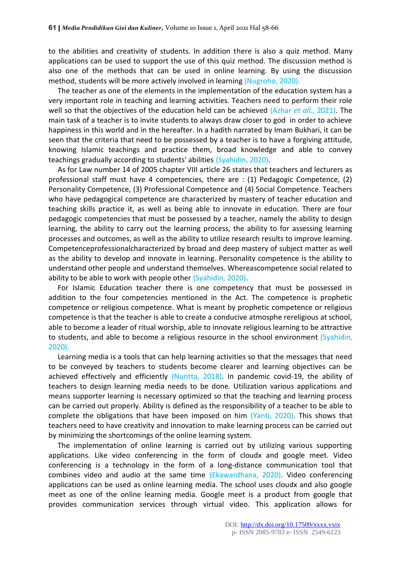to the abilities and creativity of students. In addition there is also a quiz method. Many applications can be used to support the use of this quiz method. The discussion method is also one of the methods that can be used in online learning. By using the discussion method, students will be more actively involved in learning (Nugroho, 2020).

The teacher as one of the elements in the implementation of the education system has a very important role in teaching and learning activities. Teachers need to perform their role well so that the objectives of the education held can be achieved (Azhar *et all.*, 2021). The main task of a teacher is to invite students to always draw closer to god in order to achieve happiness in this world and in the hereafter. In a hadith narrated by Imam Bukhari, it can be seen that the criteria that need to be possessed by a teacher is to have a forgiving attitude, knowing Islamic teachings and practice them, broad knowledge and able to convey teachings gradually according to students' abilities (Syahidin, 2020).

As for Law number 14 of 2005 chapter VIII article 26 states that teachers and lecturers as professional staff must have 4 competencies, there are : (1) Pedagogic Competence, (2) Personality Competence, (3) Professional Competence and (4) Social Competence. Teachers who have pedagogical competence are characterized by mastery of teacher education and teaching skills practice it, as well as being able to innovate in education. There are four pedagogic competencies that must be possessed by a teacher, namely the ability to design learning, the ability to carry out the learning process, the ability to for assessing learning processes and outcomes, as well as the ability to utilize research results to improve learning. Competenceprofessionalcharacterized by broad and deep mastery of subject matter as well as the ability to develop and innovate in learning. Personality competence is the ability to understand other people and understand themselves. Whereascompetence social related to ability to be able to work with people other (Syahidin, 2020).

For Islamic Education teacher there is one competency that must be possessed in addition to the four competencies mentioned in the Act. The competence is prophetic competence or religious competence. What is meant by prophetic competence or religious competence is that the teacher is able to create a conducive atmosphe rereligious at school, able to become a leader of ritual worship, able to innovate religious learning to be attractive to students, and able to become a religious resource in the school environment (Syahidin, 2020).

Learning media is a tools that can help learning activities so that the messages that need to be conveyed by teachers to students become clearer and learning objectives can be achieved effectively and efficiently (Nuritta, 2018). In pandemic covid-19, the ability of teachers to design learning media needs to be done. Utilization various applications and means supporter learning is necessary optimized so that the teaching and learning process can be carried out properly. Ability is defined as the responsibility of a teacher to be able to complete the obligations that have been imposed on him (Yanti, 2020). This shows that teachers need to have creativity and innovation to make learning process can be carried out by minimizing the shortcomings of the online learning system.

The implementation of online learning is carried out by utilizing various supporting applications. Like video conferencing in the form of cloudx and google meet. Video conferencing is a technology in the form of a long-distance communication tool that combines video and audio at the same time (Ekawardhana, 2020). Video conferencing applications can be used as online learning media. The school uses cloudx and also google meet as one of the online learning media. Google meet is a product from google that provides communication services through virtual video. This application allows for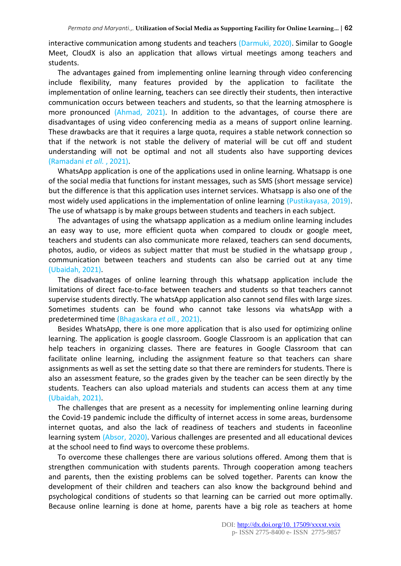interactive communication among students and teachers (Darmuki, 2020). Similar to Google Meet, CloudX is also an application that allows virtual meetings among teachers and students.

The advantages gained from implementing online learning through video conferencing include flexibility, many features provided by the application to facilitate the implementation of online learning, teachers can see directly their students, then interactive communication occurs between teachers and students, so that the learning atmosphere is more pronounced (Ahmad, 2021). In addition to the advantages, of course there are disadvantages of using video conferencing media as a means of support online learning. These drawbacks are that it requires a large quota, requires a stable network connection so that if the network is not stable the delivery of material will be cut off and student understanding will not be optimal and not all students also have supporting devices (Ramadani *et all.* , 2021).

WhatsApp application is one of the applications used in online learning. Whatsapp is one of the social media that functions for instant messages, such as SMS (short message service) but the difference is that this application uses internet services. Whatsapp is also one of the most widely used applications in the implementation of online learning (Pustikayasa, 2019). The use of whatsapp is by make groups between students and teachers in each subject.

The advantages of using the whatsapp application as a medium online learning includes an easy way to use, more efficient quota when compared to cloudx or google meet, teachers and students can also communicate more relaxed, teachers can send documents, photos, audio, or videos as subject matter that must be studied in the whatsapp group , communication between teachers and students can also be carried out at any time (Ubaidah, 2021).

The disadvantages of online learning through this whatsapp application include the limitations of direct face-to-face between teachers and students so that teachers cannot supervise students directly. The whatsApp application also cannot send files with large sizes. Sometimes students can be found who cannot take lessons via whatsApp with a predetermined time (Bhagaskara *et all.*, 2021).

Besides WhatsApp, there is one more application that is also used for optimizing online learning. The application is google classroom. Google Classroom is an application that can help teachers in organizing classes. There are features in Google Classroom that can facilitate online learning, including the assignment feature so that teachers can share assignments as well as set the setting date so that there are reminders for students. There is also an assessment feature, so the grades given by the teacher can be seen directly by the students. Teachers can also upload materials and students can access them at any time (Ubaidah, 2021).

The challenges that are present as a necessity for implementing online learning during the Covid-19 pandemic include the difficulty of internet access in some areas, burdensome internet quotas, and also the lack of readiness of teachers and students in faceonline learning system (Absor, 2020). Various challenges are presented and all educational devices at the school need to find ways to overcome these problems.

To overcome these challenges there are various solutions offered. Among them that is strengthen communication with students parents. Through cooperation among teachers and parents, then the existing problems can be solved together. Parents can know the development of their children and teachers can also know the background behind and psychological conditions of students so that learning can be carried out more optimally. Because online learning is done at home, parents have a big role as teachers at home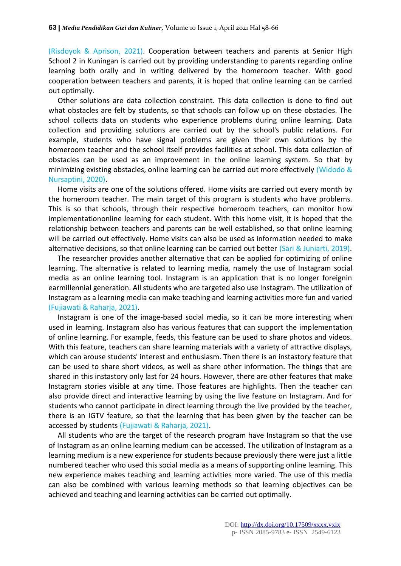(Risdoyok & Aprison, 2021). Cooperation between teachers and parents at Senior High School 2 in Kuningan is carried out by providing understanding to parents regarding online learning both orally and in writing delivered by the homeroom teacher. With good cooperation between teachers and parents, it is hoped that online learning can be carried out optimally.

Other solutions are data collection constraint. This data collection is done to find out what obstacles are felt by students, so that schools can follow up on these obstacles. The school collects data on students who experience problems during online learning. Data collection and providing solutions are carried out by the school's public relations. For example, students who have signal problems are given their own solutions by the homeroom teacher and the school itself provides facilities at school. This data collection of obstacles can be used as an improvement in the online learning system. So that by minimizing existing obstacles, online learning can be carried out more effectively (Widodo & Nursaptini, 2020).

Home visits are one of the solutions offered. Home visits are carried out every month by the homeroom teacher. The main target of this program is students who have problems. This is so that schools, through their respective homeroom teachers, can monitor how implementationonline learning for each student. With this home visit, it is hoped that the relationship between teachers and parents can be well established, so that online learning will be carried out effectively. Home visits can also be used as information needed to make alternative decisions, so that online learning can be carried out better (Sari & Juniarti, 2019).

The researcher provides another alternative that can be applied for optimizing of online learning. The alternative is related to learning media, namely the use of Instagram social media as an online learning tool. Instagram is an application that is no longer foreignin earmillennial generation. All students who are targeted also use Instagram. The utilization of Instagram as a learning media can make teaching and learning activities more fun and varied (Fujiawati & Raharja, 2021).

Instagram is one of the image-based social media, so it can be more interesting when used in learning. Instagram also has various features that can support the implementation of online learning. For example, feeds, this feature can be used to share photos and videos. With this feature, teachers can share learning materials with a variety of attractive displays, which can arouse students' interest and enthusiasm. Then there is an instastory feature that can be used to share short videos, as well as share other information. The things that are shared in this instastory only last for 24 hours. However, there are other features that make Instagram stories visible at any time. Those features are highlights. Then the teacher can also provide direct and interactive learning by using the live feature on Instagram. And for students who cannot participate in direct learning through the live provided by the teacher, there is an IGTV feature, so that the learning that has been given by the teacher can be accessed by students (Fujiawati & Raharja, 2021).

All students who are the target of the research program have Instagram so that the use of Instagram as an online learning medium can be accessed. The utilization of Instagram as a learning medium is a new experience for students because previously there were just a little numbered teacher who used this social media as a means of supporting online learning. This new experience makes teaching and learning activities more varied. The use of this media can also be combined with various learning methods so that learning objectives can be achieved and teaching and learning activities can be carried out optimally.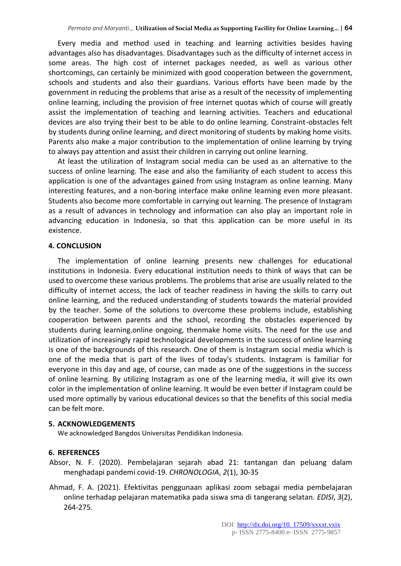Every media and method used in teaching and learning activities besides having advantages also has disadvantages. Disadvantages such as the difficulty of internet access in some areas. The high cost of internet packages needed, as well as various other shortcomings, can certainly be minimized with good cooperation between the government, schools and students and also their guardians. Various efforts have been made by the government in reducing the problems that arise as a result of the necessity of implementing online learning, including the provision of free internet quotas which of course will greatly assist the implementation of teaching and learning activities. Teachers and educational devices are also trying their best to be able to do online learning. Constraint-obstacles felt by students during online learning, and direct monitoring of students by making home visits. Parents also make a major contribution to the implementation of online learning by trying to always pay attention and assist their children in carrying out online learning.

At least the utilization of Instagram social media can be used as an alternative to the success of online learning. The ease and also the familiarity of each student to access this application is one of the advantages gained from using Instagram as online learning. Many interesting features, and a non-boring interface make online learning even more pleasant. Students also become more comfortable in carrying out learning. The presence of Instagram as a result of advances in technology and information can also play an important role in advancing education in Indonesia, so that this application can be more useful in its existence.

# **4. CONCLUSION**

The implementation of online learning presents new challenges for educational institutions in Indonesia. Every educational institution needs to think of ways that can be used to overcome these various problems. The problems that arise are usually related to the difficulty of internet access, the lack of teacher readiness in having the skills to carry out online learning, and the reduced understanding of students towards the material provided by the teacher. Some of the solutions to overcome these problems include, establishing cooperation between parents and the school, recording the obstacles experienced by students during learning.online ongoing, thenmake home visits. The need for the use and utilization of increasingly rapid technological developments in the success of online learning is one of the backgrounds of this research. One of them is Instagram social media which is one of the media that is part of the lives of today's students. Instagram is familiar for everyone in this day and age, of course, can made as one of the suggestions in the success of online learning. By utilizing Instagram as one of the learning media, it will give its own color in the implementation of online learning. It would be even better if Instagram could be used more optimally by various educational devices so that the benefits of this social media can be felt more.

# **5. ACKNOWLEDGEMENTS**

We acknowledged Bangdos Universitas Pendidikan Indonesia.

# **6. REFERENCES**

- Absor, N. F. (2020). Pembelajaran sejarah abad 21: tantangan dan peluang dalam menghadapi pandemi covid-19. *CHRONOLOGIA*, *2*(1), 30-35
- Ahmad, F. A. (2021). Efektivitas penggunaan aplikasi zoom sebagai media pembelajaran online terhadap pelajaran matematika pada siswa sma di tangerang selatan. *EDISI*, *3*(2), 264-275.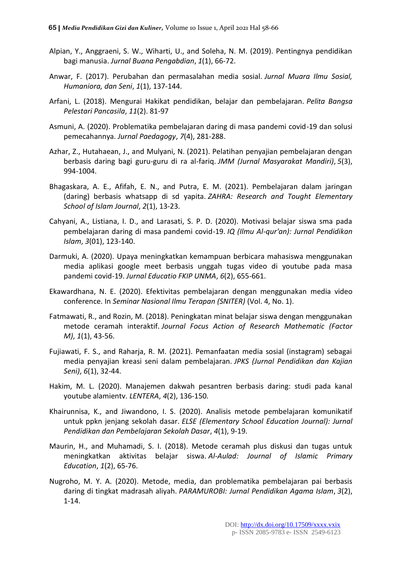- Alpian, Y., Anggraeni, S. W., Wiharti, U., and Soleha, N. M. (2019). Pentingnya pendidikan bagi manusia. *Jurnal Buana Pengabdian*, *1*(1), 66-72.
- Anwar, F. (2017). Perubahan dan permasalahan media sosial. *Jurnal Muara Ilmu Sosial, Humaniora, dan Seni*, *1*(1), 137-144.
- Arfani, L. (2018). Mengurai Hakikat pendidikan, belajar dan pembelajaran. *Pelita Bangsa Pelestari Pancasila*, *11*(2). 81-97
- Asmuni, A. (2020). Problematika pembelajaran daring di masa pandemi covid-19 dan solusi pemecahannya. *Jurnal Paedagogy*, *7*(4), 281-288.
- Azhar, Z., Hutahaean, J., and Mulyani, N. (2021). Pelatihan penyajian pembelajaran dengan berbasis daring bagi guru-guru di ra al-fariq. *JMM (Jurnal Masyarakat Mandiri)*, *5*(3), 994-1004.
- Bhagaskara, A. E., Afifah, E. N., and Putra, E. M. (2021). Pembelajaran dalam jaringan (daring) berbasis whatsapp di sd yapita. *ZAHRA: Research and Tought Elementary School of Islam Journal*, *2*(1), 13-23.
- Cahyani, A., Listiana, I. D., and Larasati, S. P. D. (2020). Motivasi belajar siswa sma pada pembelajaran daring di masa pandemi covid-19. *IQ (Ilmu Al-qur'an): Jurnal Pendidikan Islam*, *3*(01), 123-140.
- Darmuki, A. (2020). Upaya meningkatkan kemampuan berbicara mahasiswa menggunakan media aplikasi google meet berbasis unggah tugas video di youtube pada masa pandemi covid-19. *Jurnal Educatio FKIP UNMA*, *6*(2), 655-661.
- Ekawardhana, N. E. (2020). Efektivitas pembelajaran dengan menggunakan media video conference. In *Seminar Nasional Ilmu Terapan (SNITER)* (Vol. 4, No. 1).
- Fatmawati, R., and Rozin, M. (2018). Peningkatan minat belajar siswa dengan menggunakan metode ceramah interaktif. *Journal Focus Action of Research Mathematic (Factor M)*, *1*(1), 43-56.
- Fujiawati, F. S., and Raharja, R. M. (2021). Pemanfaatan media sosial (instagram) sebagai media penyajian kreasi seni dalam pembelajaran. *JPKS (Jurnal Pendidikan dan Kajian Seni)*, *6*(1), 32-44.
- Hakim, M. L. (2020). Manajemen dakwah pesantren berbasis daring: studi pada kanal youtube alamientv. *LENTERA*, *4*(2), 136-150.
- Khairunnisa, K., and Jiwandono, I. S. (2020). Analisis metode pembelajaran komunikatif untuk ppkn jenjang sekolah dasar. *ELSE (Elementary School Education Journal): Jurnal Pendidikan dan Pembelajaran Sekolah Dasar*, *4*(1), 9-19.
- Maurin, H., and Muhamadi, S. I. (2018). Metode ceramah plus diskusi dan tugas untuk meningkatkan aktivitas belajar siswa. *Al-Aulad: Journal of Islamic Primary Education*, *1*(2), 65-76.
- Nugroho, M. Y. A. (2020). Metode, media, dan problematika pembelajaran pai berbasis daring di tingkat madrasah aliyah. *PARAMUROBI: Jurnal Pendidikan Agama Islam*, *3*(2), 1-14.